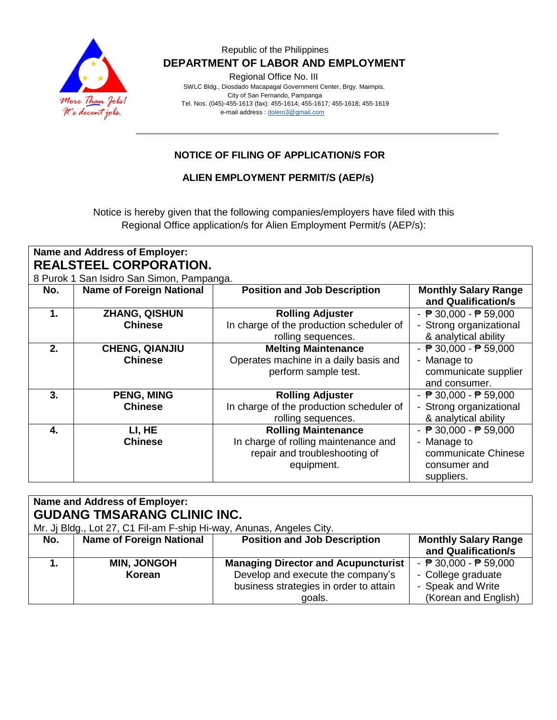

Regional Office No. III

 SWLC Bldg., Diosdado Macapagal Government Center, Brgy. Maimpis, City of San Fernando, Pampanga Tel. Nos. (045)-455-1613 (fax): 455-1614; 455-1617; 455-1618; 455-1619 e-mail address [: dolero3@gmail.com](mailto:dolero3@gmail.com)

# **NOTICE OF FILING OF APPLICATION/S FOR**

**ALIEN EMPLOYMENT PERMIT/S (AEP/s)**

Notice is hereby given that the following companies/employers have filed with this Regional Office application/s for Alien Employment Permit/s (AEP/s):

| Name and Address of Employer: |                                           |                                          |                                                 |  |  |
|-------------------------------|-------------------------------------------|------------------------------------------|-------------------------------------------------|--|--|
| <b>REALSTEEL CORPORATION.</b> |                                           |                                          |                                                 |  |  |
|                               | 8 Purok 1 San Isidro San Simon, Pampanga. |                                          |                                                 |  |  |
| No.                           | <b>Name of Foreign National</b>           | <b>Position and Job Description</b>      | <b>Monthly Salary Range</b>                     |  |  |
|                               |                                           |                                          | and Qualification/s                             |  |  |
| $\mathbf 1$ .                 | <b>ZHANG, QISHUN</b>                      | <b>Rolling Adjuster</b>                  | - ₱ 30,000 - ₱ 59,000                           |  |  |
|                               | <b>Chinese</b>                            | In charge of the production scheduler of | - Strong organizational                         |  |  |
|                               |                                           | rolling sequences.                       | & analytical ability                            |  |  |
| 2.                            | <b>CHENG, QIANJIU</b>                     | <b>Melting Maintenance</b>               | - $\overline{P}$ 30,000 - $\overline{P}$ 59,000 |  |  |
|                               | <b>Chinese</b>                            | Operates machine in a daily basis and    | - Manage to                                     |  |  |
|                               |                                           | perform sample test.                     | communicate supplier                            |  |  |
|                               |                                           |                                          | and consumer.                                   |  |  |
| 3.                            | <b>PENG, MING</b>                         | <b>Rolling Adjuster</b>                  | - ₱ 30,000 - ₱ 59,000                           |  |  |
|                               | <b>Chinese</b>                            | In charge of the production scheduler of | - Strong organizational                         |  |  |
|                               |                                           | rolling sequences.                       | & analytical ability                            |  |  |
| 4.                            | LI, HE                                    | <b>Rolling Maintenance</b>               | - ₱ 30,000 - ₱ 59,000                           |  |  |
|                               | <b>Chinese</b>                            | In charge of rolling maintenance and     | - Manage to                                     |  |  |
|                               |                                           | repair and troubleshooting of            | communicate Chinese                             |  |  |
|                               |                                           | equipment.                               | consumer and                                    |  |  |
|                               |                                           |                                          | suppliers.                                      |  |  |

| <b>Name and Address of Employer:</b><br><b>GUDANG TMSARANG CLINIC INC.</b><br>Mr. Jj Bldg., Lot 27, C1 Fil-am F-ship Hi-way, Anunas, Angeles City. |                                 |                                                                                                                                     |                                                                                                                    |  |
|----------------------------------------------------------------------------------------------------------------------------------------------------|---------------------------------|-------------------------------------------------------------------------------------------------------------------------------------|--------------------------------------------------------------------------------------------------------------------|--|
| No.                                                                                                                                                | <b>Name of Foreign National</b> | <b>Position and Job Description</b>                                                                                                 | <b>Monthly Salary Range</b><br>and Qualification/s                                                                 |  |
|                                                                                                                                                    | <b>MIN, JONGOH</b><br>Korean    | <b>Managing Director and Acupuncturist</b><br>Develop and execute the company's<br>business strategies in order to attain<br>goals. | - $\overline{P}$ 30,000 - $\overline{P}$ 59,000<br>- College graduate<br>- Speak and Write<br>(Korean and English) |  |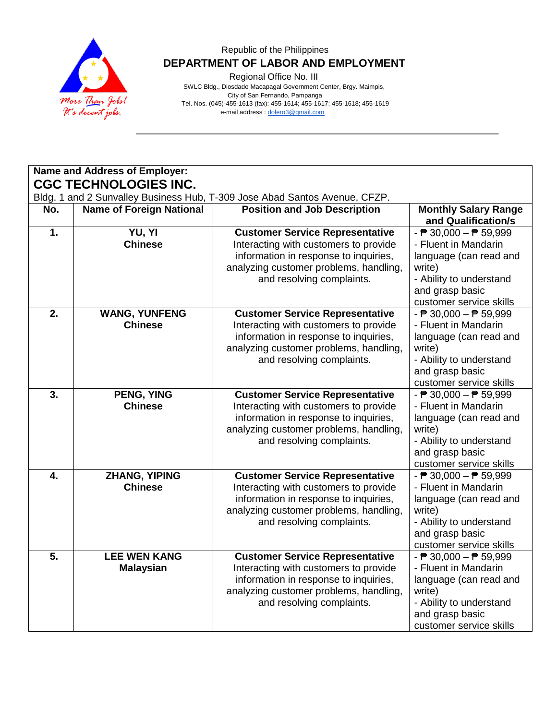

Regional Office No. III

 SWLC Bldg., Diosdado Macapagal Government Center, Brgy. Maimpis, City of San Fernando, Pampanga Tel. Nos. (045)-455-1613 (fax): 455-1614; 455-1617; 455-1618; 455-1619 e-mail address [: dolero3@gmail.com](mailto:dolero3@gmail.com)

|                  | Name and Address of Employer:           |                                                                                                                                                                                                 |                                                                                                                                                                                      |  |  |
|------------------|-----------------------------------------|-------------------------------------------------------------------------------------------------------------------------------------------------------------------------------------------------|--------------------------------------------------------------------------------------------------------------------------------------------------------------------------------------|--|--|
|                  | <b>CGC TECHNOLOGIES INC.</b>            |                                                                                                                                                                                                 |                                                                                                                                                                                      |  |  |
|                  |                                         | Bldg. 1 and 2 Sunvalley Business Hub, T-309 Jose Abad Santos Avenue, CFZP.                                                                                                                      |                                                                                                                                                                                      |  |  |
| No.              | <b>Name of Foreign National</b>         | <b>Position and Job Description</b>                                                                                                                                                             | <b>Monthly Salary Range</b><br>and Qualification/s                                                                                                                                   |  |  |
| 1.               | YU, YI<br><b>Chinese</b>                | <b>Customer Service Representative</b><br>Interacting with customers to provide<br>information in response to inquiries,<br>analyzing customer problems, handling,<br>and resolving complaints. | $ \overline{P}$ 30,000 $ \overline{P}$ 59,999<br>- Fluent in Mandarin<br>language (can read and<br>write)<br>- Ability to understand<br>and grasp basic<br>customer service skills   |  |  |
| $\overline{2}$ . | <b>WANG, YUNFENG</b><br><b>Chinese</b>  | <b>Customer Service Representative</b><br>Interacting with customers to provide<br>information in response to inquiries,<br>analyzing customer problems, handling,<br>and resolving complaints. | $ \overline{P}$ 30,000 $ \overline{P}$ 59,999<br>- Fluent in Mandarin<br>language (can read and<br>write)<br>- Ability to understand<br>and grasp basic<br>customer service skills   |  |  |
| 3.               | PENG, YING<br><b>Chinese</b>            | <b>Customer Service Representative</b><br>Interacting with customers to provide<br>information in response to inquiries,<br>analyzing customer problems, handling,<br>and resolving complaints. | $ \overline{P}$ 30,000 $ \overline{P}$ 59,999<br>- Fluent in Mandarin<br>language (can read and<br>write)<br>- Ability to understand<br>and grasp basic<br>customer service skills   |  |  |
| $\overline{4}$ . | <b>ZHANG, YIPING</b><br><b>Chinese</b>  | <b>Customer Service Representative</b><br>Interacting with customers to provide<br>information in response to inquiries,<br>analyzing customer problems, handling,<br>and resolving complaints. | $ \overline{P}$ 30,000 $ \overline{P}$ 59,999<br>- Fluent in Mandarin<br>language (can read and<br>write)<br>- Ability to understand<br>and grasp basic<br>customer service skills   |  |  |
| 5.               | <b>LEE WEN KANG</b><br><b>Malaysian</b> | <b>Customer Service Representative</b><br>Interacting with customers to provide<br>information in response to inquiries,<br>analyzing customer problems, handling,<br>and resolving complaints. | - $\overline{P}$ 30,000 - $\overline{P}$ 59,999<br>- Fluent in Mandarin<br>language (can read and<br>write)<br>- Ability to understand<br>and grasp basic<br>customer service skills |  |  |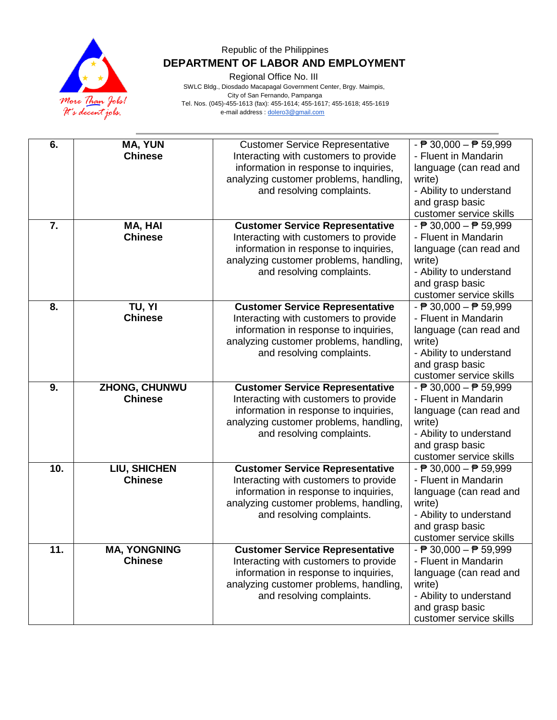

Regional Office No. III

 SWLC Bldg., Diosdado Macapagal Government Center, Brgy. Maimpis, City of San Fernando, Pampanga Tel. Nos. (045)-455-1613 (fax): 455-1614; 455-1617; 455-1618; 455-1619 e-mail address [: dolero3@gmail.com](mailto:dolero3@gmail.com)

| 6.               |                                  |                                                                                                                                                                    |                                                                                                           |
|------------------|----------------------------------|--------------------------------------------------------------------------------------------------------------------------------------------------------------------|-----------------------------------------------------------------------------------------------------------|
|                  | <b>MA, YUN</b><br><b>Chinese</b> | <b>Customer Service Representative</b><br>Interacting with customers to provide<br>information in response to inquiries,<br>analyzing customer problems, handling, | $ \overline{P}$ 30,000 $ \overline{P}$ 59,999<br>- Fluent in Mandarin<br>language (can read and<br>write) |
|                  |                                  | and resolving complaints.                                                                                                                                          | - Ability to understand<br>and grasp basic                                                                |
|                  |                                  |                                                                                                                                                                    | customer service skills                                                                                   |
| $\overline{7}$ . | MA, HAI                          | <b>Customer Service Representative</b>                                                                                                                             | $ \overline{P}$ 30,000 $ \overline{P}$ 59,999                                                             |
|                  | <b>Chinese</b>                   | Interacting with customers to provide                                                                                                                              | - Fluent in Mandarin                                                                                      |
|                  |                                  | information in response to inquiries,                                                                                                                              | language (can read and                                                                                    |
|                  |                                  | analyzing customer problems, handling,<br>and resolving complaints.                                                                                                | write)<br>- Ability to understand                                                                         |
|                  |                                  |                                                                                                                                                                    | and grasp basic                                                                                           |
|                  |                                  |                                                                                                                                                                    | customer service skills                                                                                   |
| 8.               | TU, YI                           | <b>Customer Service Representative</b>                                                                                                                             | $ \overline{P}$ 30,000 $ \overline{P}$ 59,999                                                             |
|                  | <b>Chinese</b>                   | Interacting with customers to provide                                                                                                                              | - Fluent in Mandarin                                                                                      |
|                  |                                  | information in response to inquiries,                                                                                                                              | language (can read and                                                                                    |
|                  |                                  | analyzing customer problems, handling,<br>and resolving complaints.                                                                                                | write)<br>- Ability to understand                                                                         |
|                  |                                  |                                                                                                                                                                    | and grasp basic                                                                                           |
|                  |                                  |                                                                                                                                                                    | customer service skills                                                                                   |
| 9.               | ZHONG, CHUNWU                    | <b>Customer Service Representative</b>                                                                                                                             | $ \overline{P}$ 30,000 $ \overline{P}$ 59,999                                                             |
|                  | <b>Chinese</b>                   | Interacting with customers to provide                                                                                                                              | - Fluent in Mandarin                                                                                      |
|                  |                                  | information in response to inquiries,                                                                                                                              | language (can read and                                                                                    |
|                  |                                  | analyzing customer problems, handling,<br>and resolving complaints.                                                                                                | write)<br>- Ability to understand                                                                         |
|                  |                                  |                                                                                                                                                                    | and grasp basic                                                                                           |
|                  |                                  |                                                                                                                                                                    | customer service skills                                                                                   |
| 10.              | LIU, SHICHEN                     | <b>Customer Service Representative</b>                                                                                                                             | - $\overline{P}$ 30,000 - $\overline{P}$ 59,999                                                           |
|                  | <b>Chinese</b>                   | Interacting with customers to provide                                                                                                                              | - Fluent in Mandarin                                                                                      |
|                  |                                  | information in response to inquiries,                                                                                                                              | language (can read and                                                                                    |
|                  |                                  | analyzing customer problems, handling,                                                                                                                             | write)                                                                                                    |
|                  |                                  | and resolving complaints.                                                                                                                                          | - Ability to understand<br>and grasp basic                                                                |
|                  |                                  |                                                                                                                                                                    | customer service skills                                                                                   |
| 11.              | <b>MA, YONGNING</b>              | <b>Customer Service Representative</b>                                                                                                                             | $ \overline{P}$ 30,000 $ \overline{P}$ 59,999                                                             |
|                  | <b>Chinese</b>                   | Interacting with customers to provide                                                                                                                              | - Fluent in Mandarin                                                                                      |
|                  |                                  | information in response to inquiries,                                                                                                                              | language (can read and                                                                                    |
|                  |                                  | analyzing customer problems, handling,                                                                                                                             | write)                                                                                                    |
|                  |                                  | and resolving complaints.                                                                                                                                          | - Ability to understand<br>and grasp basic                                                                |
|                  |                                  |                                                                                                                                                                    | customer service skills                                                                                   |
|                  |                                  |                                                                                                                                                                    |                                                                                                           |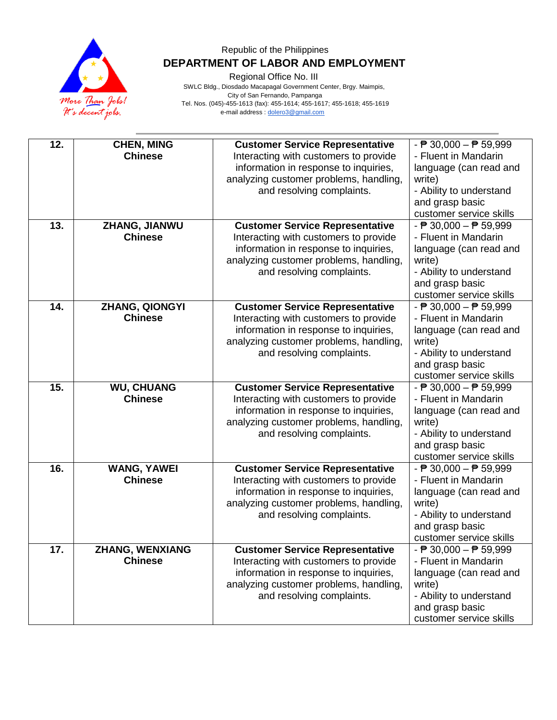

Regional Office No. III

 SWLC Bldg., Diosdado Macapagal Government Center, Brgy. Maimpis, City of San Fernando, Pampanga Tel. Nos. (045)-455-1613 (fax): 455-1614; 455-1617; 455-1618; 455-1619 e-mail address [: dolero3@gmail.com](mailto:dolero3@gmail.com)

| 12. |                                     |                                                                                |                                                                                              |
|-----|-------------------------------------|--------------------------------------------------------------------------------|----------------------------------------------------------------------------------------------|
|     | <b>CHEN, MING</b><br><b>Chinese</b> | <b>Customer Service Representative</b>                                         | $ \overline{P}$ 30,000 $ \overline{P}$ 59,999<br>- Fluent in Mandarin                        |
|     |                                     | Interacting with customers to provide<br>information in response to inquiries, | language (can read and                                                                       |
|     |                                     | analyzing customer problems, handling,                                         | write)                                                                                       |
|     |                                     | and resolving complaints.                                                      | - Ability to understand                                                                      |
|     |                                     |                                                                                | and grasp basic                                                                              |
|     |                                     |                                                                                | customer service skills                                                                      |
| 13. | ZHANG, JIANWU                       | <b>Customer Service Representative</b>                                         | $ \overline{P}$ 30,000 $ \overline{P}$ 59,999                                                |
|     | <b>Chinese</b>                      | Interacting with customers to provide                                          | - Fluent in Mandarin                                                                         |
|     |                                     | information in response to inquiries,                                          | language (can read and                                                                       |
|     |                                     | analyzing customer problems, handling,                                         | write)                                                                                       |
|     |                                     | and resolving complaints.                                                      | - Ability to understand                                                                      |
|     |                                     |                                                                                | and grasp basic                                                                              |
|     |                                     |                                                                                | customer service skills                                                                      |
| 14. | ZHANG, QIONGYI                      | <b>Customer Service Representative</b>                                         | - $\overline{P}$ 30,000 - $\overline{P}$ 59,999                                              |
|     | <b>Chinese</b>                      | Interacting with customers to provide                                          | - Fluent in Mandarin                                                                         |
|     |                                     | information in response to inquiries,                                          | language (can read and                                                                       |
|     |                                     | analyzing customer problems, handling,                                         | write)                                                                                       |
|     |                                     | and resolving complaints.                                                      | - Ability to understand                                                                      |
|     |                                     |                                                                                | and grasp basic                                                                              |
|     |                                     |                                                                                | customer service skills                                                                      |
| 15. | <b>WU, CHUANG</b>                   | <b>Customer Service Representative</b>                                         | $\overline{\phantom{0}}$ = $\overline{\phantom{0}}$ 30,000 – $\overline{\phantom{0}}$ 59,999 |
|     | <b>Chinese</b>                      | Interacting with customers to provide                                          | - Fluent in Mandarin                                                                         |
|     |                                     | information in response to inquiries,                                          | language (can read and                                                                       |
|     |                                     | analyzing customer problems, handling,                                         | write)                                                                                       |
|     |                                     | and resolving complaints.                                                      | - Ability to understand<br>and grasp basic                                                   |
|     |                                     |                                                                                | customer service skills                                                                      |
| 16. | <b>WANG, YAWEI</b>                  | <b>Customer Service Representative</b>                                         | $ \overline{P}$ 30,000 $ \overline{P}$ 59,999                                                |
|     | <b>Chinese</b>                      | Interacting with customers to provide                                          | - Fluent in Mandarin                                                                         |
|     |                                     | information in response to inquiries,                                          | language (can read and                                                                       |
|     |                                     | analyzing customer problems, handling,                                         | write)                                                                                       |
|     |                                     | and resolving complaints.                                                      | - Ability to understand                                                                      |
|     |                                     |                                                                                | and grasp basic                                                                              |
|     |                                     |                                                                                | customer service skills                                                                      |
| 17. | <b>ZHANG, WENXIANG</b>              | <b>Customer Service Representative</b>                                         | $ \overline{P}$ 30,000 $ \overline{P}$ 59,999                                                |
|     | <b>Chinese</b>                      | Interacting with customers to provide                                          | - Fluent in Mandarin                                                                         |
|     |                                     | information in response to inquiries,                                          | language (can read and                                                                       |
|     |                                     | analyzing customer problems, handling,                                         | write)                                                                                       |
|     |                                     | and resolving complaints.                                                      | - Ability to understand                                                                      |
|     |                                     |                                                                                | and grasp basic                                                                              |
|     |                                     |                                                                                | customer service skills                                                                      |